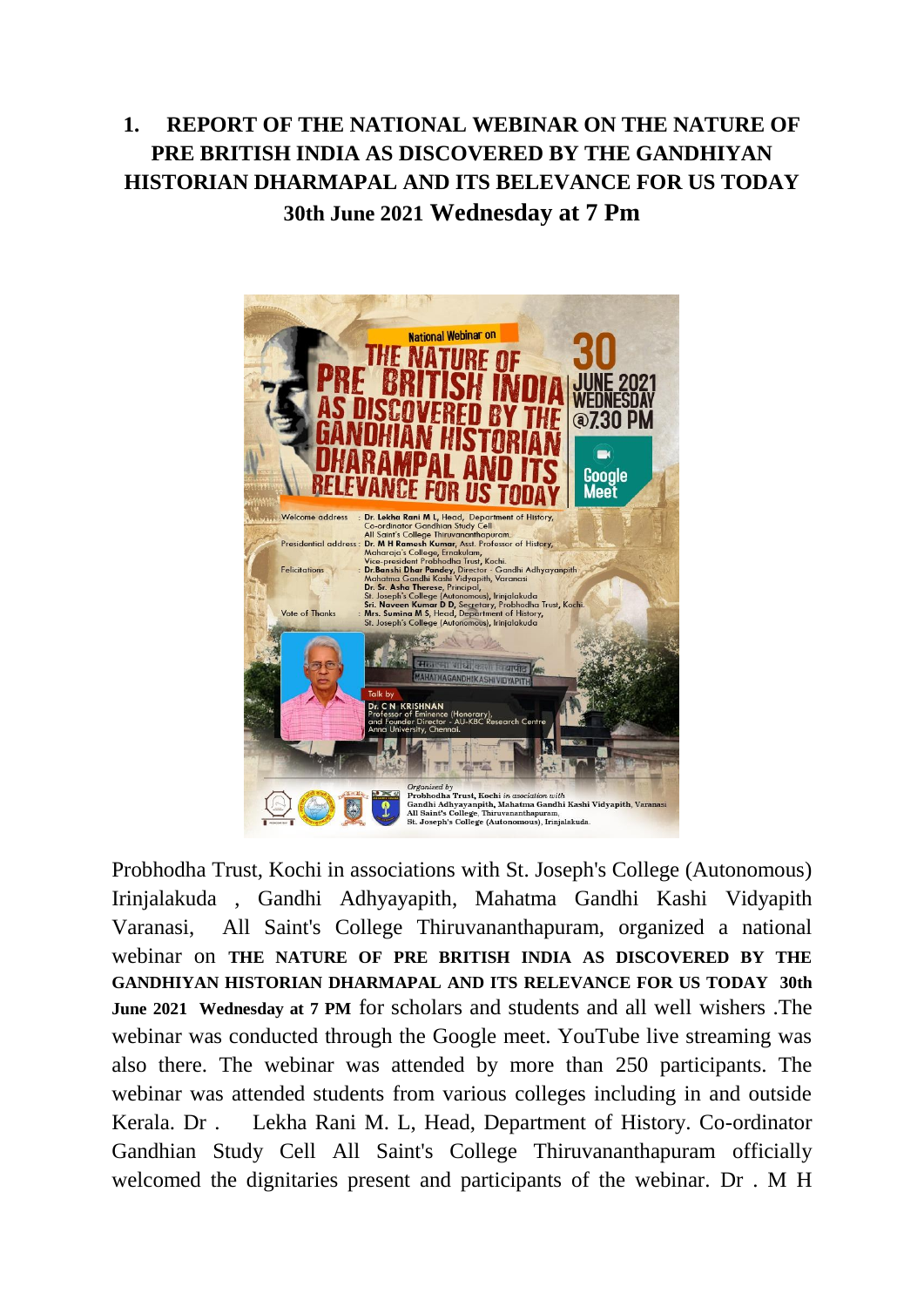## **1. REPORT OF THE NATIONAL WEBINAR ON THE NATURE OF PRE BRITISH INDIA AS DISCOVERED BY THE GANDHIYAN HISTORIAN DHARMAPAL AND ITS BELEVANCE FOR US TODAY 30th June 2021 Wednesday at 7 Pm**



Probhodha Trust, Kochi in associations with St. Joseph's College (Autonomous) Irinjalakuda , Gandhi Adhyayapith, Mahatma Gandhi Kashi Vidyapith Varanasi, All Saint's College Thiruvananthapuram, organized a national webinar on **THE NATURE OF PRE BRITISH INDIA AS DISCOVERED BY THE GANDHIYAN HISTORIAN DHARMAPAL AND ITS RELEVANCE FOR US TODAY 30th June 2021 Wednesday at 7 PM** for scholars and students and all well wishers .The webinar was conducted through the Google meet. YouTube live streaming was also there. The webinar was attended by more than 250 participants. The webinar was attended students from various colleges including in and outside Kerala. Dr . Lekha Rani M. L, Head, Department of History. Co-ordinator Gandhian Study Cell All Saint's College Thiruvananthapuram officially welcomed the dignitaries present and participants of the webinar. Dr . M H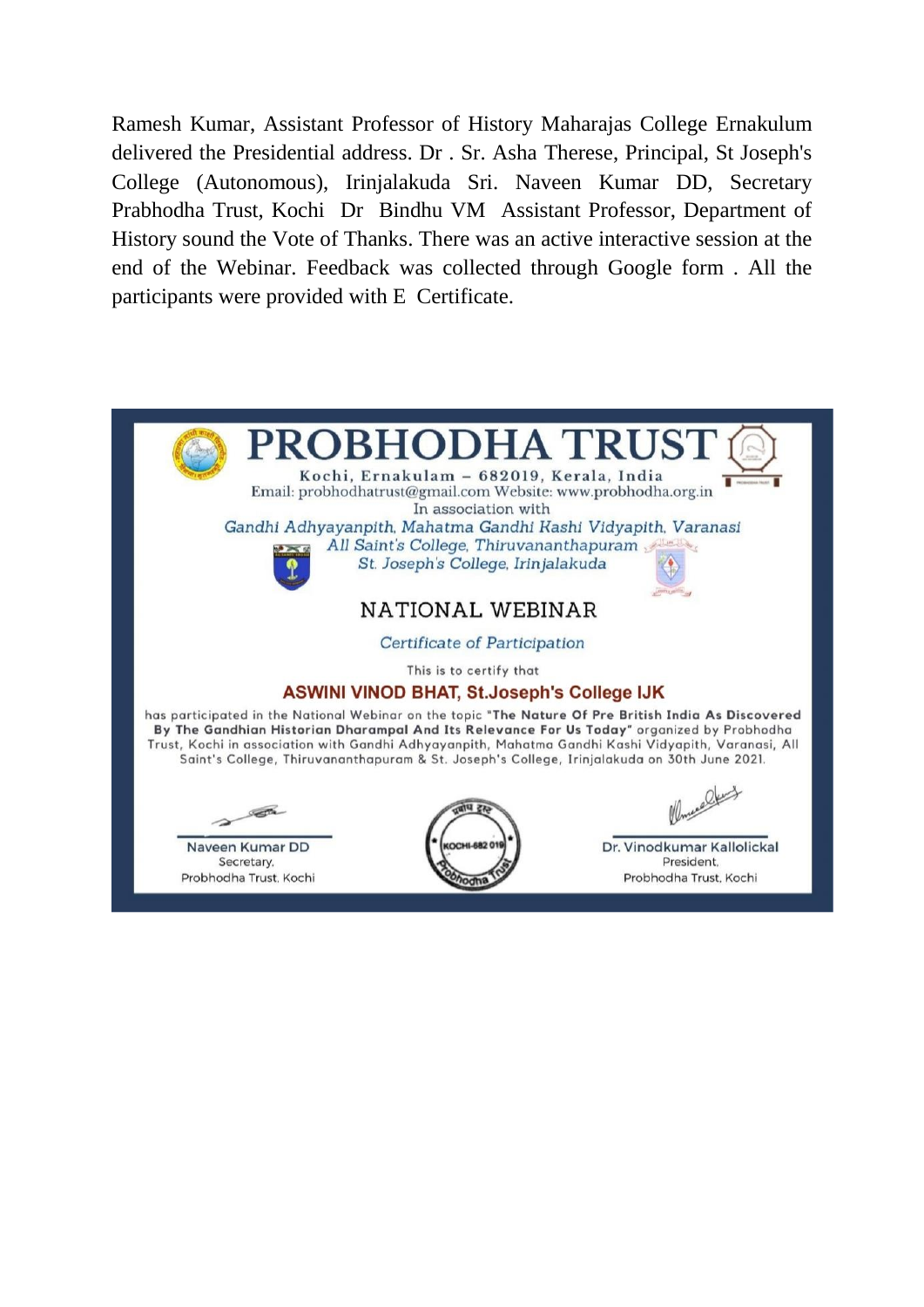Ramesh Kumar, Assistant Professor of History Maharajas College Ernakulum delivered the Presidential address. Dr . Sr. Asha Therese, Principal, St Joseph's College (Autonomous), Irinjalakuda Sri. Naveen Kumar DD, Secretary Prabhodha Trust, Kochi Dr Bindhu VM Assistant Professor, Department of History sound the Vote of Thanks. There was an active interactive session at the end of the Webinar. Feedback was collected through Google form . All the participants were provided with E Certificate.